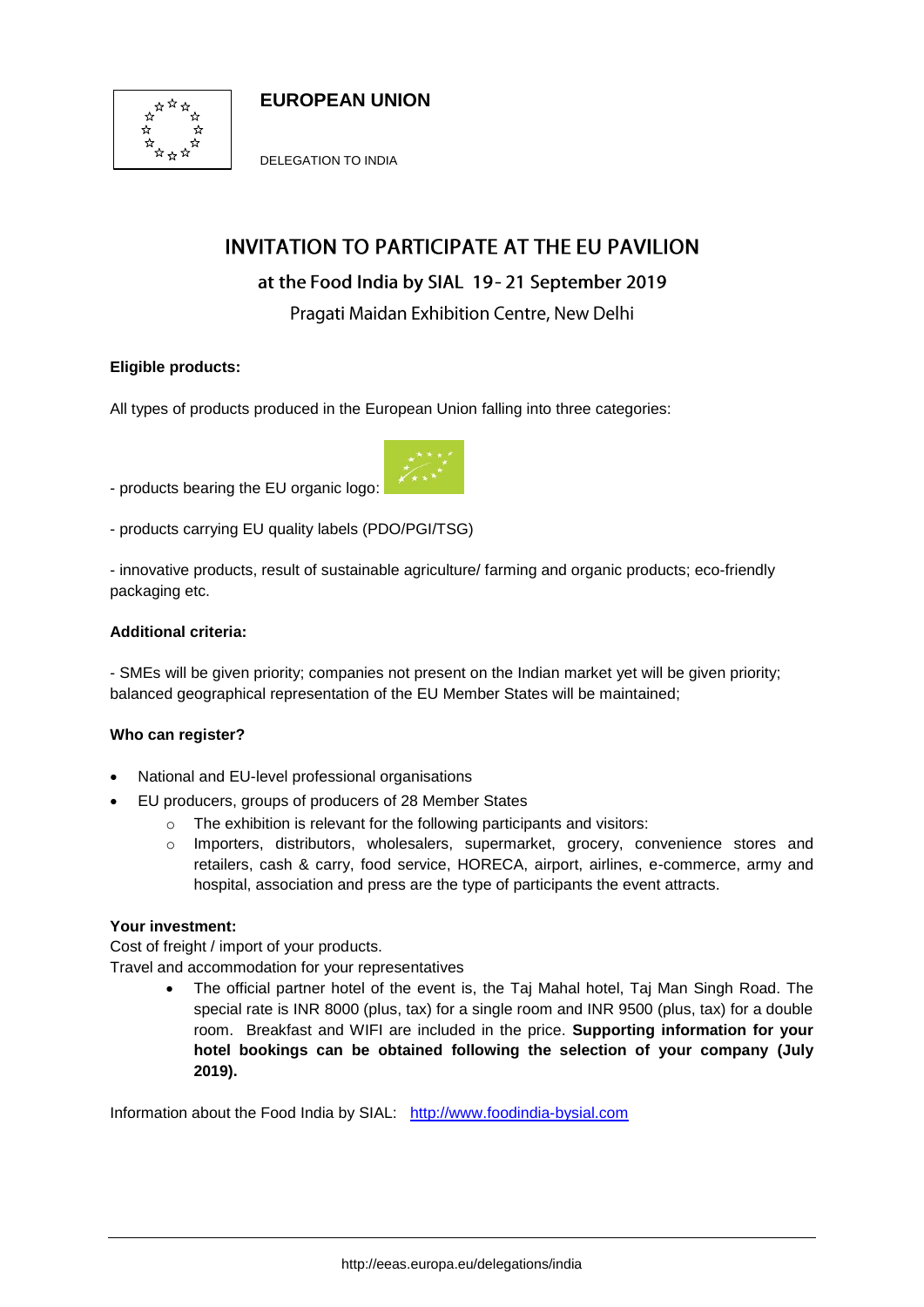



DELEGATION TO INDIA

# **INVITATION TO PARTICIPATE AT THE EU PAVILION**

## at the Food India by SIAL 19-21 September 2019

Pragati Maidan Exhibition Centre, New Delhi

## **Eligible products:**

All types of products produced in the European Union falling into three categories:

- products [bearing the EU organic logo:](https://ec.europa.eu/info/food-farming-fisheries/farming/organic-farming/organics-glance_en#theorganiclogo)



- innovative products, result of sustainable agriculture/ farming and organic products; eco-friendly packaging etc.

## **Additional criteria:**

- SMEs will be given priority; companies not present on the Indian market yet will be given priority; balanced geographical representation of the EU Member States will be maintained;

## **Who can register?**

- National and EU-level professional organisations
- EU producers, groups of producers of 28 Member States
	- o The exhibition is relevant for the following participants and visitors:
	- o Importers, distributors, wholesalers, supermarket, grocery, convenience stores and retailers, cash & carry, food service, HORECA, airport, airlines, e-commerce, army and hospital, association and press are the type of participants the event attracts.

## **Your investment:**

Cost of freight / import of your products.

Travel and accommodation for your representatives

• The official partner hotel of the event is, the Taj Mahal hotel, Taj Man Singh Road. The special rate is INR 8000 (plus, tax) for a single room and INR 9500 (plus, tax) for a double room. Breakfast and WIFI are included in the price. **Supporting information for your hotel bookings can be obtained following the selection of your company (July 2019).**

Information about the Food India by SIAL: [http://www.foodindia-bysial.com](http://www.foodindia-bysial.com/)